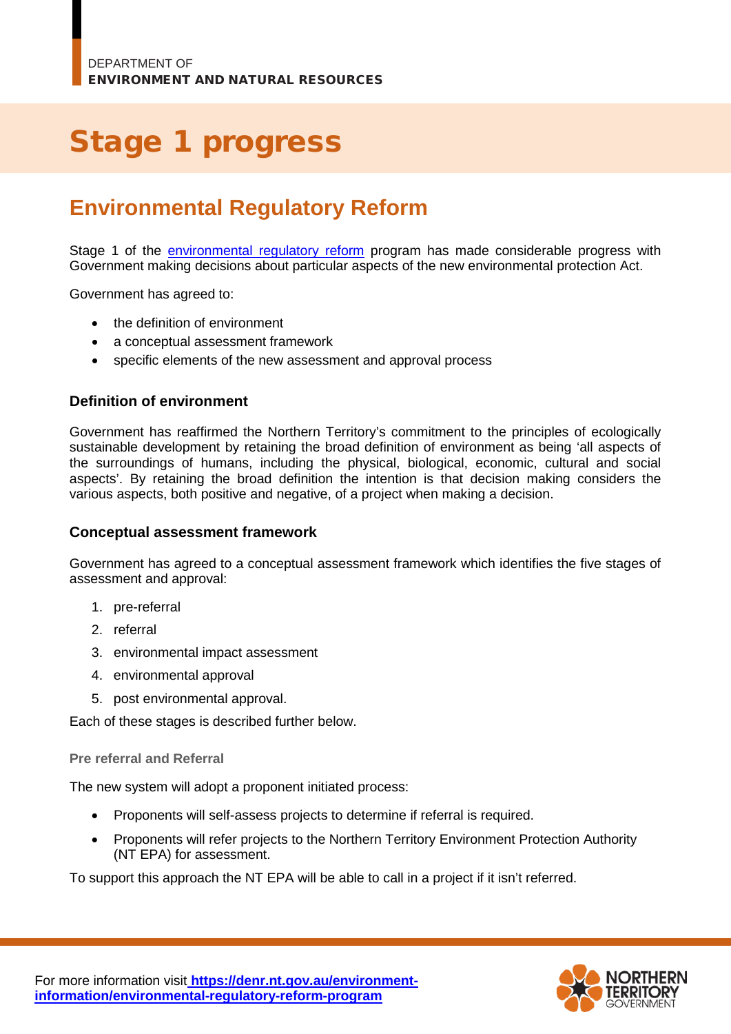# Stage 1 progress

# **Environmental Regulatory Reform**

Stage 1 of the [environmental regulatory reform](https://denr.nt.gov.au/environment-information/environmental-regulatory-reform-program) program has made considerable progress with Government making decisions about particular aspects of the new environmental protection Act.

Government has agreed to:

- the definition of environment
- a conceptual assessment framework
- specific elements of the new assessment and approval process

# **Definition of environment**

Government has reaffirmed the Northern Territory's commitment to the principles of ecologically sustainable development by retaining the broad definition of environment as being 'all aspects of the surroundings of humans, including the physical, biological, economic, cultural and social aspects'. By retaining the broad definition the intention is that decision making considers the various aspects, both positive and negative, of a project when making a decision.

## **Conceptual assessment framework**

Government has agreed to a conceptual assessment framework which identifies the five stages of assessment and approval:

- 1. pre-referral
- 2. referral
- 3. environmental impact assessment
- 4. environmental approval
- 5. post environmental approval.

Each of these stages is described further below.

#### **Pre referral and Referral**

The new system will adopt a proponent initiated process:

- Proponents will self-assess projects to determine if referral is required.
- Proponents will refer projects to the Northern Territory Environment Protection Authority (NT EPA) for assessment.

To support this approach the NT EPA will be able to call in a project if it isn't referred.

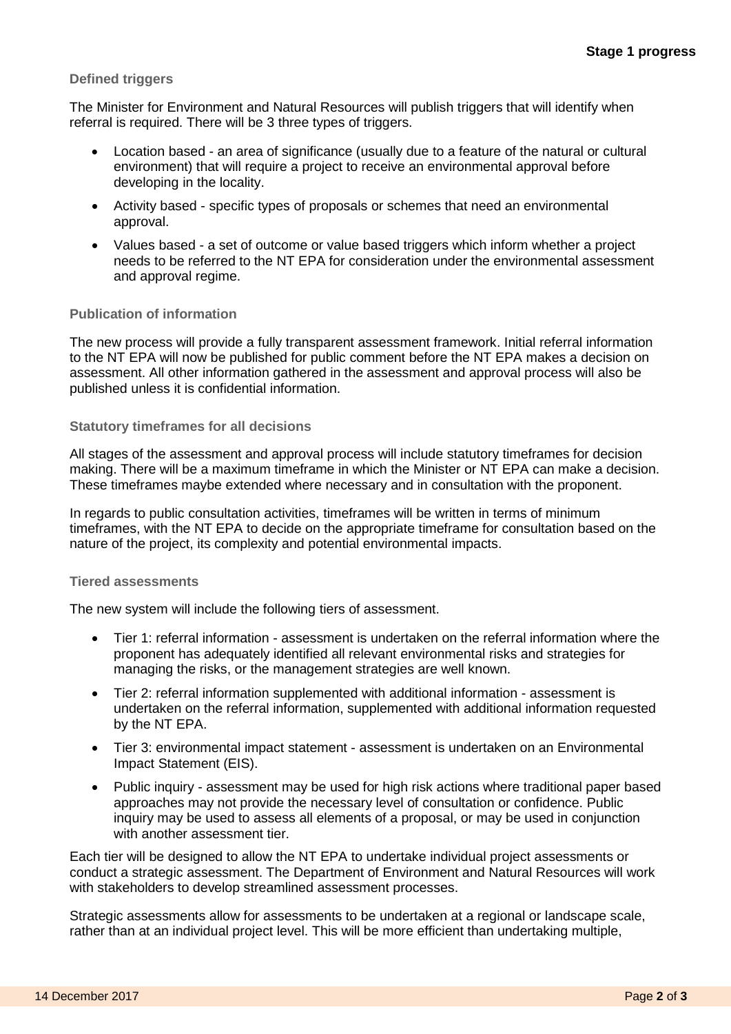#### **Defined triggers**

The Minister for Environment and Natural Resources will publish triggers that will identify when referral is required. There will be 3 three types of triggers.

- Location based an area of significance (usually due to a feature of the natural or cultural environment) that will require a project to receive an environmental approval before developing in the locality.
- Activity based specific types of proposals or schemes that need an environmental approval.
- Values based a set of outcome or value based triggers which inform whether a project needs to be referred to the NT EPA for consideration under the environmental assessment and approval regime.

#### **Publication of information**

The new process will provide a fully transparent assessment framework. Initial referral information to the NT EPA will now be published for public comment before the NT EPA makes a decision on assessment. All other information gathered in the assessment and approval process will also be published unless it is confidential information.

#### **Statutory timeframes for all decisions**

All stages of the assessment and approval process will include statutory timeframes for decision making. There will be a maximum timeframe in which the Minister or NT EPA can make a decision. These timeframes maybe extended where necessary and in consultation with the proponent.

In regards to public consultation activities, timeframes will be written in terms of minimum timeframes, with the NT EPA to decide on the appropriate timeframe for consultation based on the nature of the project, its complexity and potential environmental impacts.

#### **Tiered assessments**

The new system will include the following tiers of assessment.

- Tier 1: referral information assessment is undertaken on the referral information where the proponent has adequately identified all relevant environmental risks and strategies for managing the risks, or the management strategies are well known.
- Tier 2: referral information supplemented with additional information assessment is undertaken on the referral information, supplemented with additional information requested by the NT EPA.
- Tier 3: environmental impact statement assessment is undertaken on an Environmental Impact Statement (EIS).
- Public inquiry assessment may be used for high risk actions where traditional paper based approaches may not provide the necessary level of consultation or confidence. Public inquiry may be used to assess all elements of a proposal, or may be used in conjunction with another assessment tier.

Each tier will be designed to allow the NT EPA to undertake individual project assessments or conduct a strategic assessment. The Department of Environment and Natural Resources will work with stakeholders to develop streamlined assessment processes.

Strategic assessments allow for assessments to be undertaken at a regional or landscape scale, rather than at an individual project level. This will be more efficient than undertaking multiple,